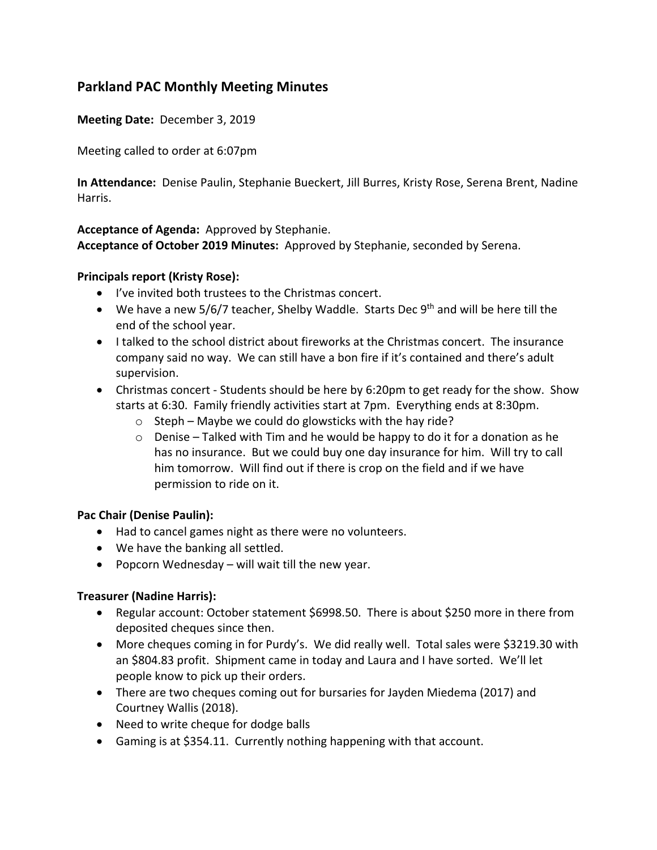# **Parkland PAC Monthly Meeting Minutes**

**Meeting Date:** December 3, 2019

Meeting called to order at 6:07pm

**In Attendance:** Denise Paulin, Stephanie Bueckert, Jill Burres, Kristy Rose, Serena Brent, Nadine Harris.

#### **Acceptance of Agenda:** Approved by Stephanie.

**Acceptance of October 2019 Minutes:** Approved by Stephanie, seconded by Serena.

## **Principals report (Kristy Rose):**

- I've invited both trustees to the Christmas concert.
- We have a new  $5/6/7$  teacher, Shelby Waddle. Starts Dec 9<sup>th</sup> and will be here till the end of the school year.
- I talked to the school district about fireworks at the Christmas concert. The insurance company said no way. We can still have a bon fire if it's contained and there's adult supervision.
- Christmas concert Students should be here by 6:20pm to get ready for the show. Show starts at 6:30. Family friendly activities start at 7pm. Everything ends at 8:30pm.
	- $\circ$  Steph Maybe we could do glowsticks with the hay ride?
	- $\circ$  Denise Talked with Tim and he would be happy to do it for a donation as he has no insurance. But we could buy one day insurance for him. Will try to call him tomorrow. Will find out if there is crop on the field and if we have permission to ride on it.

#### **Pac Chair (Denise Paulin):**

- Had to cancel games night as there were no volunteers.
- We have the banking all settled.
- Popcorn Wednesday will wait till the new year.

#### **Treasurer (Nadine Harris):**

- Regular account: October statement \$6998.50. There is about \$250 more in there from deposited cheques since then.
- More cheques coming in for Purdy's. We did really well. Total sales were \$3219.30 with an \$804.83 profit. Shipment came in today and Laura and I have sorted. We'll let people know to pick up their orders.
- There are two cheques coming out for bursaries for Jayden Miedema (2017) and Courtney Wallis (2018).
- Need to write cheque for dodge balls
- Gaming is at \$354.11. Currently nothing happening with that account.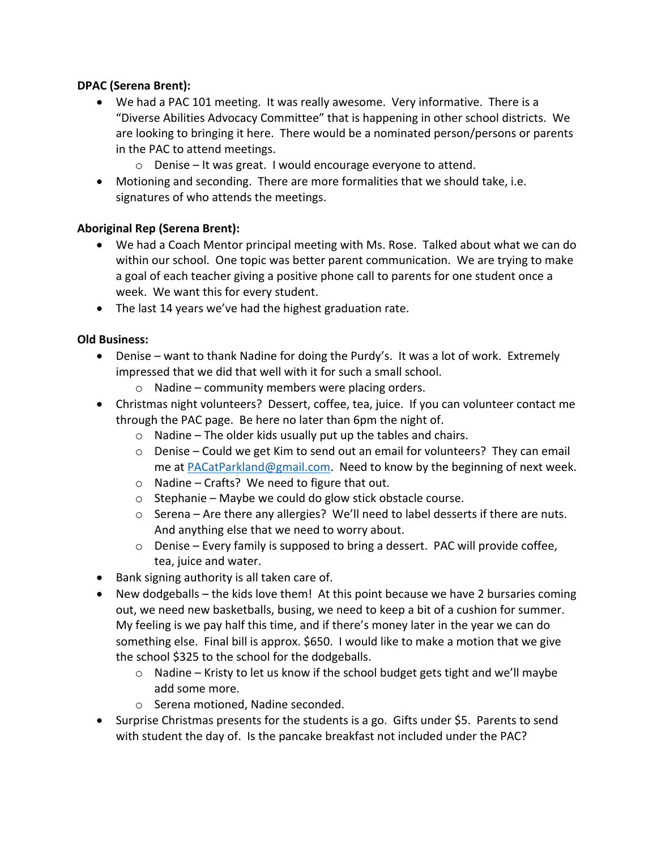## **DPAC (Serena Brent):**

- We had a PAC 101 meeting. It was really awesome. Very informative. There is a "Diverse Abilities Advocacy Committee" that is happening in other school districts. We are looking to bringing it here. There would be a nominated person/persons or parents in the PAC to attend meetings.
	- o Denise It was great. I would encourage everyone to attend.
- Motioning and seconding. There are more formalities that we should take, i.e. signatures of who attends the meetings.

## **Aboriginal Rep (Serena Brent):**

- We had a Coach Mentor principal meeting with Ms. Rose. Talked about what we can do within our school. One topic was better parent communication. We are trying to make a goal of each teacher giving a positive phone call to parents for one student once a week. We want this for every student.
- The last 14 years we've had the highest graduation rate.

# **Old Business:**

- Denise want to thank Nadine for doing the Purdy's. It was a lot of work. Extremely impressed that we did that well with it for such a small school.
	- $\circ$  Nadine community members were placing orders.
- Christmas night volunteers? Dessert, coffee, tea, juice. If you can volunteer contact me through the PAC page. Be here no later than 6pm the night of.
	- $\circ$  Nadine The older kids usually put up the tables and chairs.
	- $\circ$  Denise Could we get Kim to send out an email for volunteers? They can email me at PACatParkland@gmail.com. Need to know by the beginning of next week.
	- o Nadine Crafts? We need to figure that out.
	- o Stephanie Maybe we could do glow stick obstacle course.
	- $\circ$  Serena Are there any allergies? We'll need to label desserts if there are nuts. And anything else that we need to worry about.
	- $\circ$  Denise Every family is supposed to bring a dessert. PAC will provide coffee, tea, juice and water.
- Bank signing authority is all taken care of.
- New dodgeballs the kids love them! At this point because we have 2 bursaries coming out, we need new basketballs, busing, we need to keep a bit of a cushion for summer. My feeling is we pay half this time, and if there's money later in the year we can do something else. Final bill is approx. \$650. I would like to make a motion that we give the school \$325 to the school for the dodgeballs.
	- o Nadine Kristy to let us know if the school budget gets tight and we'll maybe add some more.
	- o Serena motioned, Nadine seconded.
- Surprise Christmas presents for the students is a go. Gifts under \$5. Parents to send with student the day of. Is the pancake breakfast not included under the PAC?